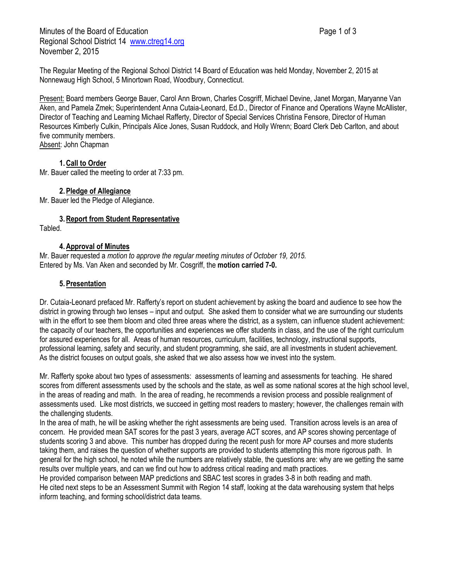The Regular Meeting of the Regional School District 14 Board of Education was held Monday, November 2, 2015 at Nonnewaug High School, 5 Minortown Road, Woodbury, Connecticut.

Present: Board members George Bauer, Carol Ann Brown, Charles Cosgriff, Michael Devine, Janet Morgan, Maryanne Van Aken, and Pamela Zmek; Superintendent Anna Cutaia-Leonard, Ed.D., Director of Finance and Operations Wayne McAllister, Director of Teaching and Learning Michael Rafferty, Director of Special Services Christina Fensore, Director of Human Resources Kimberly Culkin, Principals Alice Jones, Susan Ruddock, and Holly Wrenn; Board Clerk Deb Carlton, and about five community members. Absent: John Chapman

### **1.Call to Order**

Mr. Bauer called the meeting to order at 7:33 pm.

## **2.Pledge of Allegiance**

Mr. Bauer led the Pledge of Allegiance.

### **3.Report from Student Representative**

Tabled.

### **4.Approval of Minutes**

Mr. Bauer requested a *motion to approve the regular meeting minutes of October 19, 2015.* Entered by Ms. Van Aken and seconded by Mr. Cosgriff, the **motion carried 7-0.**

### **5.Presentation**

Dr. Cutaia-Leonard prefaced Mr. Rafferty's report on student achievement by asking the board and audience to see how the district in growing through two lenses – input and output. She asked them to consider what we are surrounding our students with in the effort to see them bloom and cited three areas where the district, as a system, can influence student achievement: the capacity of our teachers, the opportunities and experiences we offer students in class, and the use of the right curriculum for assured experiences for all. Areas of human resources, curriculum, facilities, technology, instructional supports, professional learning, safety and security, and student programming, she said, are all investments in student achievement. As the district focuses on output goals, she asked that we also assess how we invest into the system.

Mr. Rafferty spoke about two types of assessments: assessments of learning and assessments for teaching. He shared scores from different assessments used by the schools and the state, as well as some national scores at the high school level, in the areas of reading and math. In the area of reading, he recommends a revision process and possible realignment of assessments used. Like most districts, we succeed in getting most readers to mastery; however, the challenges remain with the challenging students.

In the area of math, he will be asking whether the right assessments are being used. Transition across levels is an area of concern. He provided mean SAT scores for the past 3 years, average ACT scores, and AP scores showing percentage of students scoring 3 and above. This number has dropped during the recent push for more AP courses and more students taking them, and raises the question of whether supports are provided to students attempting this more rigorous path. In general for the high school, he noted while the numbers are relatively stable, the questions are: why are we getting the same results over multiple years, and can we find out how to address critical reading and math practices.

He provided comparison between MAP predictions and SBAC test scores in grades 3-8 in both reading and math. He cited next steps to be an Assessment Summit with Region 14 staff, looking at the data warehousing system that helps inform teaching, and forming school/district data teams.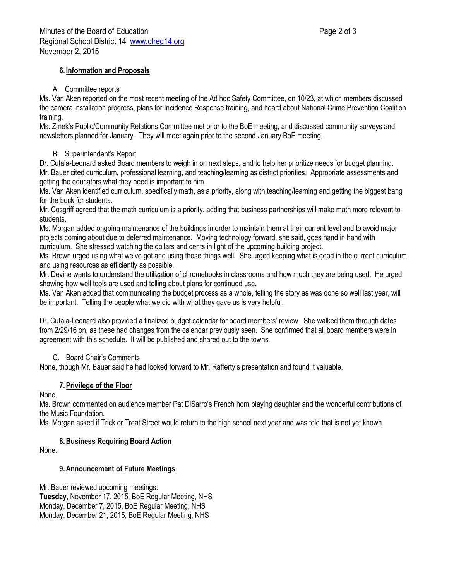## **6. Information and Proposals**

## A. Committee reports

Ms. Van Aken reported on the most recent meeting of the Ad hoc Safety Committee, on 10/23, at which members discussed the camera installation progress, plans for Incidence Response training, and heard about National Crime Prevention Coalition training.

Ms. Zmek's Public/Community Relations Committee met prior to the BoE meeting, and discussed community surveys and newsletters planned for January. They will meet again prior to the second January BoE meeting.

## B. Superintendent's Report

Dr. Cutaia-Leonard asked Board members to weigh in on next steps, and to help her prioritize needs for budget planning. Mr. Bauer cited curriculum, professional learning, and teaching/learning as district priorities. Appropriate assessments and getting the educators what they need is important to him.

Ms. Van Aken identified curriculum, specifically math, as a priority, along with teaching/learning and getting the biggest bang for the buck for students.

Mr. Cosgriff agreed that the math curriculum is a priority, adding that business partnerships will make math more relevant to students.

Ms. Morgan added ongoing maintenance of the buildings in order to maintain them at their current level and to avoid major projects coming about due to deferred maintenance. Moving technology forward, she said, goes hand in hand with curriculum. She stressed watching the dollars and cents in light of the upcoming building project.

Ms. Brown urged using what we've got and using those things well. She urged keeping what is good in the current curriculum and using resources as efficiently as possible.

Mr. Devine wants to understand the utilization of chromebooks in classrooms and how much they are being used. He urged showing how well tools are used and telling about plans for continued use.

Ms. Van Aken added that communicating the budget process as a whole, telling the story as was done so well last year, will be important. Telling the people what we did with what they gave us is very helpful.

Dr. Cutaia-Leonard also provided a finalized budget calendar for board members' review. She walked them through dates from 2/29/16 on, as these had changes from the calendar previously seen. She confirmed that all board members were in agreement with this schedule. It will be published and shared out to the towns.

## C. Board Chair's Comments

None, though Mr. Bauer said he had looked forward to Mr. Rafferty's presentation and found it valuable.

# **7.Privilege of the Floor**

None.

Ms. Brown commented on audience member Pat DiSarro's French horn playing daughter and the wonderful contributions of the Music Foundation.

Ms. Morgan asked if Trick or Treat Street would return to the high school next year and was told that is not yet known.

## **8.Business Requiring Board Action**

None.

# **9.Announcement of Future Meetings**

Mr. Bauer reviewed upcoming meetings: **Tuesday**, November 17, 2015, BoE Regular Meeting, NHS Monday, December 7, 2015, BoE Regular Meeting, NHS

Monday, December 21, 2015, BoE Regular Meeting, NHS